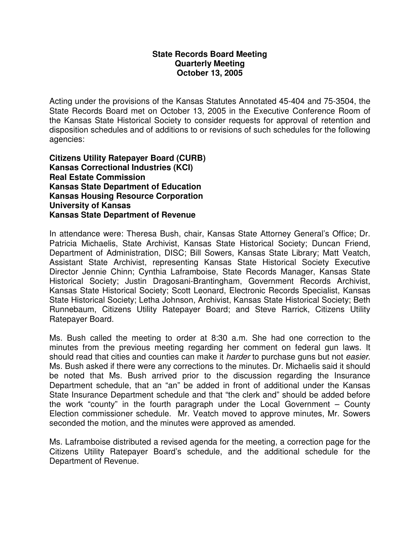#### **State Records Board Meeting Quarterly Meeting October 13, 2005**

Acting under the provisions of the Kansas Statutes Annotated 45-404 and 75-3504, the State Records Board met on October 13, 2005 in the Executive Conference Room of the Kansas State Historical Society to consider requests for approval of retention and disposition schedules and of additions to or revisions of such schedules for the following agencies:

**Citizens Utility Ratepayer Board (CURB) Kansas Correctional Industries (KCI) Real Estate Commission Kansas State Department of Education Kansas Housing Resource Corporation University of Kansas Kansas State Department of Revenue** 

In attendance were: Theresa Bush, chair, Kansas State Attorney General's Office; Dr. Patricia Michaelis, State Archivist, Kansas State Historical Society; Duncan Friend, Department of Administration, DISC; Bill Sowers, Kansas State Library; Matt Veatch, Assistant State Archivist, representing Kansas State Historical Society Executive Director Jennie Chinn; Cynthia Laframboise, State Records Manager, Kansas State Historical Society; Justin Dragosani-Brantingham, Government Records Archivist, Kansas State Historical Society; Scott Leonard, Electronic Records Specialist, Kansas State Historical Society; Letha Johnson, Archivist, Kansas State Historical Society; Beth Runnebaum, Citizens Utility Ratepayer Board; and Steve Rarrick, Citizens Utility Ratepayer Board.

Ms. Bush called the meeting to order at 8:30 a.m. She had one correction to the minutes from the previous meeting regarding her comment on federal gun laws. It should read that cities and counties can make it harder to purchase guns but not easier. Ms. Bush asked if there were any corrections to the minutes. Dr. Michaelis said it should be noted that Ms. Bush arrived prior to the discussion regarding the Insurance Department schedule, that an "an" be added in front of additional under the Kansas State Insurance Department schedule and that "the clerk and" should be added before the work "county" in the fourth paragraph under the Local Government – County Election commissioner schedule. Mr. Veatch moved to approve minutes, Mr. Sowers seconded the motion, and the minutes were approved as amended.

Ms. Laframboise distributed a revised agenda for the meeting, a correction page for the Citizens Utility Ratepayer Board's schedule, and the additional schedule for the Department of Revenue.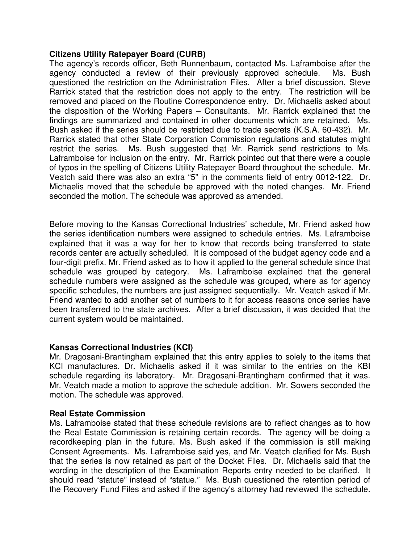## **Citizens Utility Ratepayer Board (CURB)**

The agency's records officer, Beth Runnenbaum, contacted Ms. Laframboise after the agency conducted a review of their previously approved schedule. Ms. Bush questioned the restriction on the Administration Files. After a brief discussion, Steve Rarrick stated that the restriction does not apply to the entry. The restriction will be removed and placed on the Routine Correspondence entry. Dr. Michaelis asked about the disposition of the Working Papers – Consultants. Mr. Rarrick explained that the findings are summarized and contained in other documents which are retained. Ms. Bush asked if the series should be restricted due to trade secrets (K.S.A. 60-432). Mr. Rarrick stated that other State Corporation Commission regulations and statutes might restrict the series. Ms. Bush suggested that Mr. Rarrick send restrictions to Ms. Laframboise for inclusion on the entry. Mr. Rarrick pointed out that there were a couple of typos in the spelling of Citizens Utility Ratepayer Board throughout the schedule. Mr. Veatch said there was also an extra "5" in the comments field of entry 0012-122. Dr. Michaelis moved that the schedule be approved with the noted changes. Mr. Friend seconded the motion. The schedule was approved as amended.

Before moving to the Kansas Correctional Industries' schedule, Mr. Friend asked how the series identification numbers were assigned to schedule entries. Ms. Laframboise explained that it was a way for her to know that records being transferred to state records center are actually scheduled. It is composed of the budget agency code and a four-digit prefix. Mr. Friend asked as to how it applied to the general schedule since that schedule was grouped by category. Ms. Laframboise explained that the general schedule numbers were assigned as the schedule was grouped, where as for agency specific schedules, the numbers are just assigned sequentially. Mr. Veatch asked if Mr. Friend wanted to add another set of numbers to it for access reasons once series have been transferred to the state archives. After a brief discussion, it was decided that the current system would be maintained.

# **Kansas Correctional Industries (KCI)**

Mr. Dragosani-Brantingham explained that this entry applies to solely to the items that KCI manufactures. Dr. Michaelis asked if it was similar to the entries on the KBI schedule regarding its laboratory. Mr. Dragosani-Brantingham confirmed that it was. Mr. Veatch made a motion to approve the schedule addition. Mr. Sowers seconded the motion. The schedule was approved.

## **Real Estate Commission**

Ms. Laframboise stated that these schedule revisions are to reflect changes as to how the Real Estate Commission is retaining certain records. The agency will be doing a recordkeeping plan in the future. Ms. Bush asked if the commission is still making Consent Agreements. Ms. Laframboise said yes, and Mr. Veatch clarified for Ms. Bush that the series is now retained as part of the Docket Files. Dr. Michaelis said that the wording in the description of the Examination Reports entry needed to be clarified. It should read "statute" instead of "statue." Ms. Bush questioned the retention period of the Recovery Fund Files and asked if the agency's attorney had reviewed the schedule.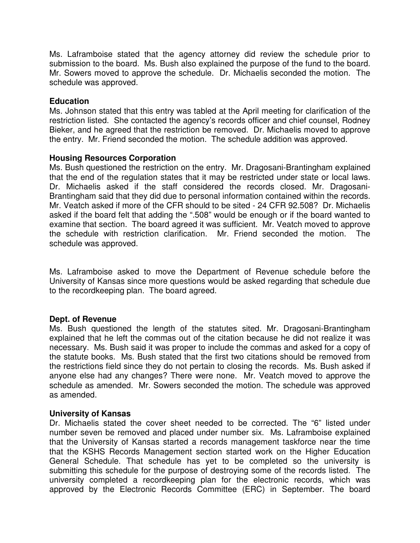Ms. Laframboise stated that the agency attorney did review the schedule prior to submission to the board. Ms. Bush also explained the purpose of the fund to the board. Mr. Sowers moved to approve the schedule. Dr. Michaelis seconded the motion. The schedule was approved.

## **Education**

Ms. Johnson stated that this entry was tabled at the April meeting for clarification of the restriction listed. She contacted the agency's records officer and chief counsel, Rodney Bieker, and he agreed that the restriction be removed. Dr. Michaelis moved to approve the entry. Mr. Friend seconded the motion. The schedule addition was approved.

## **Housing Resources Corporation**

Ms. Bush questioned the restriction on the entry. Mr. Dragosani-Brantingham explained that the end of the regulation states that it may be restricted under state or local laws. Dr. Michaelis asked if the staff considered the records closed. Mr. Dragosani-Brantingham said that they did due to personal information contained within the records. Mr. Veatch asked if more of the CFR should to be sited - 24 CFR 92.508? Dr. Michaelis asked if the board felt that adding the ".508" would be enough or if the board wanted to examine that section. The board agreed it was sufficient. Mr. Veatch moved to approve the schedule with restriction clarification. Mr. Friend seconded the motion. The schedule was approved.

Ms. Laframboise asked to move the Department of Revenue schedule before the University of Kansas since more questions would be asked regarding that schedule due to the recordkeeping plan. The board agreed.

## **Dept. of Revenue**

Ms. Bush questioned the length of the statutes sited. Mr. Dragosani-Brantingham explained that he left the commas out of the citation because he did not realize it was necessary. Ms. Bush said it was proper to include the commas and asked for a copy of the statute books. Ms. Bush stated that the first two citations should be removed from the restrictions field since they do not pertain to closing the records. Ms. Bush asked if anyone else had any changes? There were none. Mr. Veatch moved to approve the schedule as amended. Mr. Sowers seconded the motion. The schedule was approved as amended.

## **University of Kansas**

Dr. Michaelis stated the cover sheet needed to be corrected. The "6" listed under number seven be removed and placed under number six. Ms. Laframboise explained that the University of Kansas started a records management taskforce near the time that the KSHS Records Management section started work on the Higher Education General Schedule. That schedule has yet to be completed so the university is submitting this schedule for the purpose of destroying some of the records listed. The university completed a recordkeeping plan for the electronic records, which was approved by the Electronic Records Committee (ERC) in September. The board